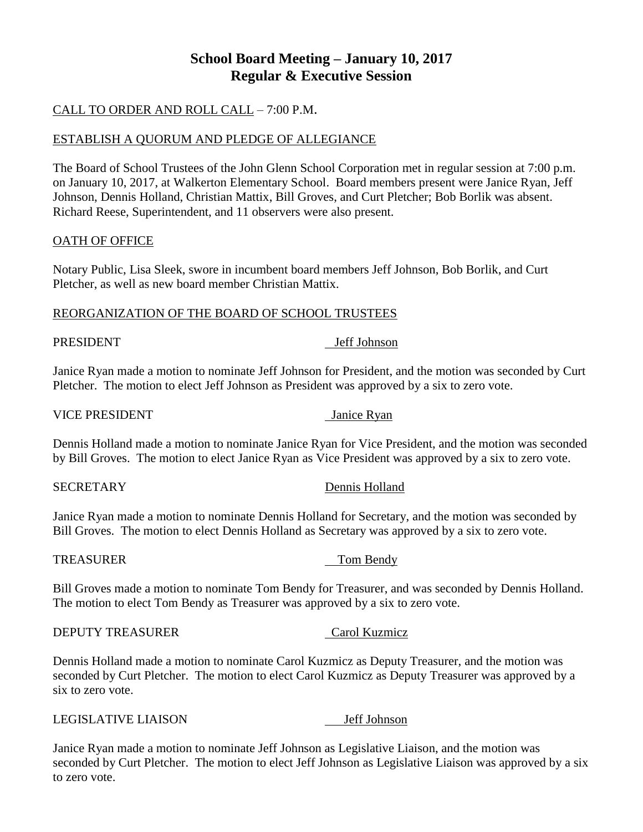# **School Board Meeting – January 10, 2017 Regular & Executive Session**

# CALL TO ORDER AND ROLL CALL – 7:00 P.M.

## ESTABLISH A QUORUM AND PLEDGE OF ALLEGIANCE

The Board of School Trustees of the John Glenn School Corporation met in regular session at 7:00 p.m. on January 10, 2017, at Walkerton Elementary School. Board members present were Janice Ryan, Jeff Johnson, Dennis Holland, Christian Mattix, Bill Groves, and Curt Pletcher; Bob Borlik was absent. Richard Reese, Superintendent, and 11 observers were also present.

## OATH OF OFFICE

Notary Public, Lisa Sleek, swore in incumbent board members Jeff Johnson, Bob Borlik, and Curt Pletcher, as well as new board member Christian Mattix.

## REORGANIZATION OF THE BOARD OF SCHOOL TRUSTEES

## PRESIDENT Jeff Johnson

Janice Ryan made a motion to nominate Jeff Johnson for President, and the motion was seconded by Curt Pletcher. The motion to elect Jeff Johnson as President was approved by a six to zero vote.

## VICE PRESIDENT Janice Ryan

Dennis Holland made a motion to nominate Janice Ryan for Vice President, and the motion was seconded by Bill Groves. The motion to elect Janice Ryan as Vice President was approved by a six to zero vote.

## SECRETARY Dennis Holland

Janice Ryan made a motion to nominate Dennis Holland for Secretary, and the motion was seconded by Bill Groves. The motion to elect Dennis Holland as Secretary was approved by a six to zero vote.

## TREASURER TREASURER TOM Bendy

Bill Groves made a motion to nominate Tom Bendy for Treasurer, and was seconded by Dennis Holland. The motion to elect Tom Bendy as Treasurer was approved by a six to zero vote.

## DEPUTY TREASURER Carol Kuzmicz

Dennis Holland made a motion to nominate Carol Kuzmicz as Deputy Treasurer, and the motion was seconded by Curt Pletcher. The motion to elect Carol Kuzmicz as Deputy Treasurer was approved by a six to zero vote.

## LEGISLATIVE LIAISON Jeff Johnson

Janice Ryan made a motion to nominate Jeff Johnson as Legislative Liaison, and the motion was seconded by Curt Pletcher. The motion to elect Jeff Johnson as Legislative Liaison was approved by a six to zero vote.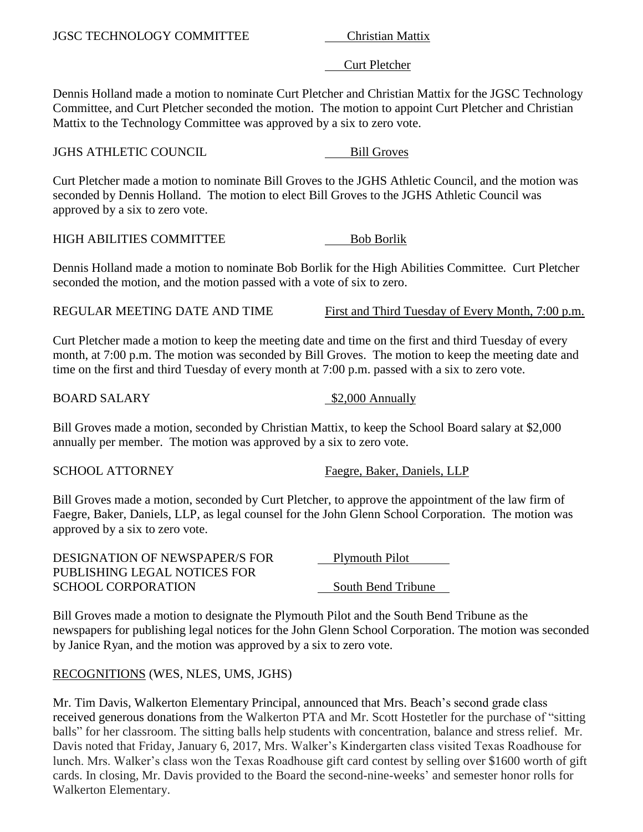# Curt Pletcher

Dennis Holland made a motion to nominate Curt Pletcher and Christian Mattix for the JGSC Technology Committee, and Curt Pletcher seconded the motion. The motion to appoint Curt Pletcher and Christian Mattix to the Technology Committee was approved by a six to zero vote.

**JGHS ATHLETIC COUNCIL** Bill Groves

Curt Pletcher made a motion to nominate Bill Groves to the JGHS Athletic Council, and the motion was seconded by Dennis Holland. The motion to elect Bill Groves to the JGHS Athletic Council was approved by a six to zero vote.

HIGH ABILITIES COMMITTEE Bob Borlik

Dennis Holland made a motion to nominate Bob Borlik for the High Abilities Committee. Curt Pletcher seconded the motion, and the motion passed with a vote of six to zero.

REGULAR MEETING DATE AND TIME First and Third Tuesday of Every Month, 7:00 p.m.

Curt Pletcher made a motion to keep the meeting date and time on the first and third Tuesday of every month, at 7:00 p.m. The motion was seconded by Bill Groves. The motion to keep the meeting date and time on the first and third Tuesday of every month at 7:00 p.m. passed with a six to zero vote.

BOARD SALARY \$2,000 Annually

Bill Groves made a motion, seconded by Christian Mattix, to keep the School Board salary at \$2,000 annually per member. The motion was approved by a six to zero vote.

SCHOOL ATTORNEY Faegre, Baker, Daniels, LLP

Bill Groves made a motion, seconded by Curt Pletcher, to approve the appointment of the law firm of Faegre, Baker, Daniels, LLP, as legal counsel for the John Glenn School Corporation. The motion was approved by a six to zero vote.

| <b>DESIGNATION OF NEWSPAPER/S FOR</b> | Plymouth Pilot     |
|---------------------------------------|--------------------|
| PUBLISHING LEGAL NOTICES FOR          |                    |
| <b>SCHOOL CORPORATION</b>             | South Bend Tribune |

Bill Groves made a motion to designate the Plymouth Pilot and the South Bend Tribune as the newspapers for publishing legal notices for the John Glenn School Corporation. The motion was seconded by Janice Ryan, and the motion was approved by a six to zero vote.

# RECOGNITIONS (WES, NLES, UMS, JGHS)

Mr. Tim Davis, Walkerton Elementary Principal, announced that Mrs. Beach's second grade class received generous donations from the Walkerton PTA and Mr. Scott Hostetler for the purchase of "sitting balls" for her classroom. The sitting balls help students with concentration, balance and stress relief. Mr. Davis noted that Friday, January 6, 2017, Mrs. Walker's Kindergarten class visited Texas Roadhouse for lunch. Mrs. Walker's class won the Texas Roadhouse gift card contest by selling over \$1600 worth of gift cards. In closing, Mr. Davis provided to the Board the second-nine-weeks' and semester honor rolls for Walkerton Elementary.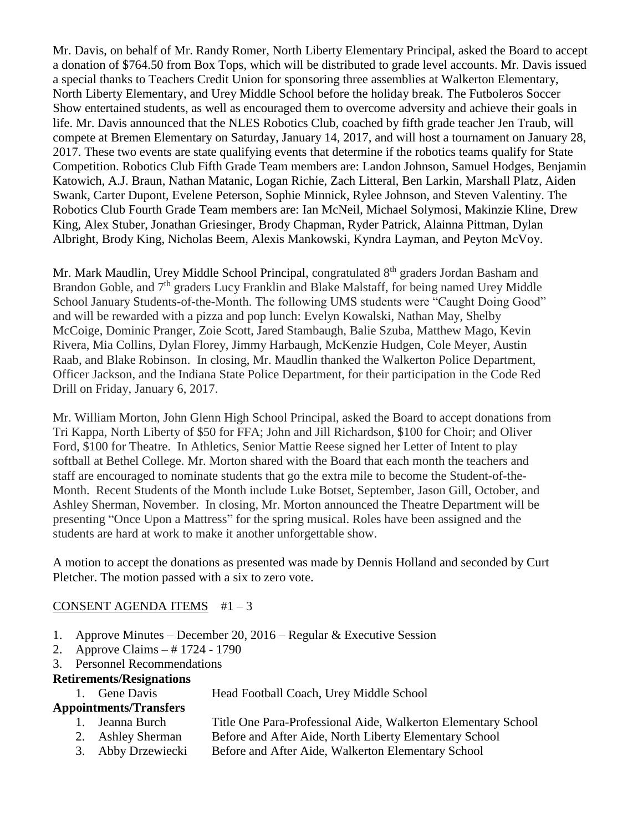Mr. Davis, on behalf of Mr. Randy Romer, North Liberty Elementary Principal, asked the Board to accept a donation of \$764.50 from Box Tops, which will be distributed to grade level accounts. Mr. Davis issued a special thanks to Teachers Credit Union for sponsoring three assemblies at Walkerton Elementary, North Liberty Elementary, and Urey Middle School before the holiday break. The Futboleros Soccer Show entertained students, as well as encouraged them to overcome adversity and achieve their goals in life. Mr. Davis announced that the NLES Robotics Club, coached by fifth grade teacher Jen Traub, will compete at Bremen Elementary on Saturday, January 14, 2017, and will host a tournament on January 28, 2017. These two events are state qualifying events that determine if the robotics teams qualify for State Competition. Robotics Club Fifth Grade Team members are: Landon Johnson, Samuel Hodges, Benjamin Katowich, A.J. Braun, Nathan Matanic, Logan Richie, Zach Litteral, Ben Larkin, Marshall Platz, Aiden Swank, Carter Dupont, Evelene Peterson, Sophie Minnick, Rylee Johnson, and Steven Valentiny. The Robotics Club Fourth Grade Team members are: Ian McNeil, Michael Solymosi, Makinzie Kline, Drew King, Alex Stuber, Jonathan Griesinger, Brody Chapman, Ryder Patrick, Alainna Pittman, Dylan Albright, Brody King, Nicholas Beem, Alexis Mankowski, Kyndra Layman, and Peyton McVoy.

Mr. Mark Maudlin, Urey Middle School Principal, congratulated 8<sup>th</sup> graders Jordan Basham and Brandon Goble, and  $7<sup>th</sup>$  graders Lucy Franklin and Blake Malstaff, for being named Urey Middle School January Students-of-the-Month. The following UMS students were "Caught Doing Good" and will be rewarded with a pizza and pop lunch: Evelyn Kowalski, Nathan May, Shelby McCoige, Dominic Pranger, Zoie Scott, Jared Stambaugh, Balie Szuba, Matthew Mago, Kevin Rivera, Mia Collins, Dylan Florey, Jimmy Harbaugh, McKenzie Hudgen, Cole Meyer, Austin Raab, and Blake Robinson. In closing, Mr. Maudlin thanked the Walkerton Police Department, Officer Jackson, and the Indiana State Police Department, for their participation in the Code Red Drill on Friday, January 6, 2017.

Mr. William Morton, John Glenn High School Principal, asked the Board to accept donations from Tri Kappa, North Liberty of \$50 for FFA; John and Jill Richardson, \$100 for Choir; and Oliver Ford, \$100 for Theatre. In Athletics, Senior Mattie Reese signed her Letter of Intent to play softball at Bethel College. Mr. Morton shared with the Board that each month the teachers and staff are encouraged to nominate students that go the extra mile to become the Student-of-the-Month. Recent Students of the Month include Luke Botset, September, Jason Gill, October, and Ashley Sherman, November. In closing, Mr. Morton announced the Theatre Department will be presenting "Once Upon a Mattress" for the spring musical. Roles have been assigned and the students are hard at work to make it another unforgettable show.

A motion to accept the donations as presented was made by Dennis Holland and seconded by Curt Pletcher. The motion passed with a six to zero vote.

## CONSENT AGENDA ITEMS  $#1-3$

- 1. Approve Minutes December 20, 2016 Regular & Executive Session
- 2. Approve Claims # 1724 1790
- 3. Personnel Recommendations

# **Retirements/Resignations**

1. Gene Davis Head Football Coach, Urey Middle School

# **Appointments/Transfers**

- 1. Jeanna Burch Title One Para-Professional Aide, Walkerton Elementary School
- 2. Ashley Sherman Before and After Aide, North Liberty Elementary School
- 3. Abby Drzewiecki Before and After Aide, Walkerton Elementary School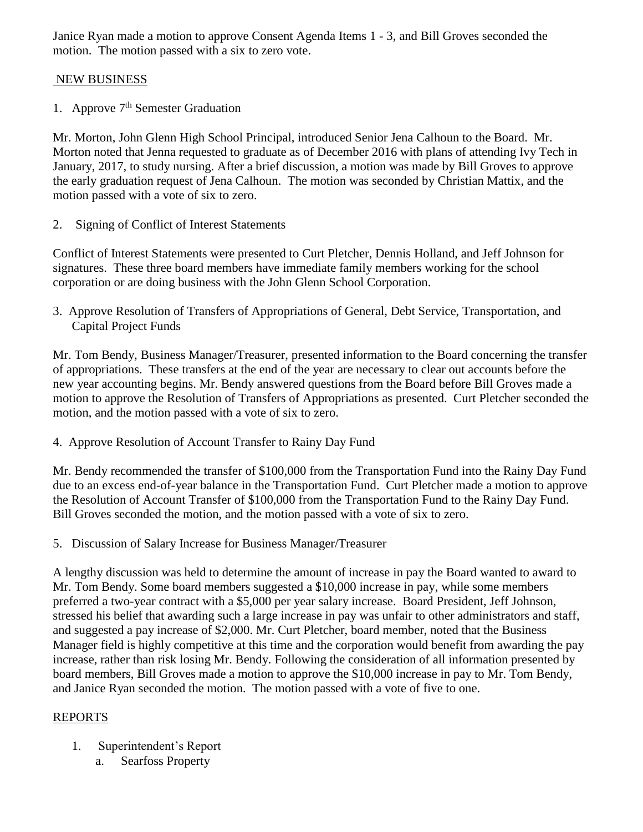Janice Ryan made a motion to approve Consent Agenda Items 1 - 3, and Bill Groves seconded the motion. The motion passed with a six to zero vote.

## NEW BUSINESS

1. Approve 7<sup>th</sup> Semester Graduation

Mr. Morton, John Glenn High School Principal, introduced Senior Jena Calhoun to the Board. Mr. Morton noted that Jenna requested to graduate as of December 2016 with plans of attending Ivy Tech in January, 2017, to study nursing. After a brief discussion, a motion was made by Bill Groves to approve the early graduation request of Jena Calhoun. The motion was seconded by Christian Mattix, and the motion passed with a vote of six to zero.

2. Signing of Conflict of Interest Statements

Conflict of Interest Statements were presented to Curt Pletcher, Dennis Holland, and Jeff Johnson for signatures. These three board members have immediate family members working for the school corporation or are doing business with the John Glenn School Corporation.

3. Approve Resolution of Transfers of Appropriations of General, Debt Service, Transportation, and Capital Project Funds

Mr. Tom Bendy, Business Manager/Treasurer, presented information to the Board concerning the transfer of appropriations. These transfers at the end of the year are necessary to clear out accounts before the new year accounting begins. Mr. Bendy answered questions from the Board before Bill Groves made a motion to approve the Resolution of Transfers of Appropriations as presented. Curt Pletcher seconded the motion, and the motion passed with a vote of six to zero.

4. Approve Resolution of Account Transfer to Rainy Day Fund

Mr. Bendy recommended the transfer of \$100,000 from the Transportation Fund into the Rainy Day Fund due to an excess end-of-year balance in the Transportation Fund. Curt Pletcher made a motion to approve the Resolution of Account Transfer of \$100,000 from the Transportation Fund to the Rainy Day Fund. Bill Groves seconded the motion, and the motion passed with a vote of six to zero.

5. Discussion of Salary Increase for Business Manager/Treasurer

A lengthy discussion was held to determine the amount of increase in pay the Board wanted to award to Mr. Tom Bendy. Some board members suggested a \$10,000 increase in pay, while some members preferred a two-year contract with a \$5,000 per year salary increase. Board President, Jeff Johnson, stressed his belief that awarding such a large increase in pay was unfair to other administrators and staff, and suggested a pay increase of \$2,000. Mr. Curt Pletcher, board member, noted that the Business Manager field is highly competitive at this time and the corporation would benefit from awarding the pay increase, rather than risk losing Mr. Bendy. Following the consideration of all information presented by board members, Bill Groves made a motion to approve the \$10,000 increase in pay to Mr. Tom Bendy, and Janice Ryan seconded the motion. The motion passed with a vote of five to one.

# REPORTS

- 1. Superintendent's Report
	- a. Searfoss Property